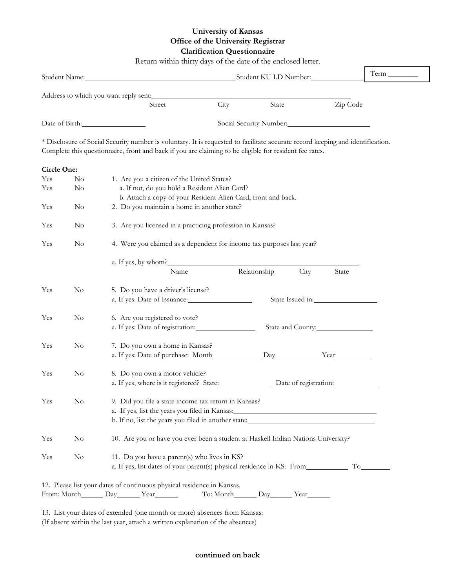## **University of Kansas Office of the University Registrar Clarification Questionnaire**

|             |          | Return within thirty days of the date of the enclosed letter.                                                                  |      |              |                  |          | $Term$ <sub>____________</sub> |  |  |  |
|-------------|----------|--------------------------------------------------------------------------------------------------------------------------------|------|--------------|------------------|----------|--------------------------------|--|--|--|
|             |          |                                                                                                                                |      |              |                  |          |                                |  |  |  |
|             |          | Address to which you want reply sent:                                                                                          |      |              |                  |          |                                |  |  |  |
|             |          | Street                                                                                                                         | City | State        |                  | Zip Code |                                |  |  |  |
|             |          |                                                                                                                                |      |              |                  |          |                                |  |  |  |
|             |          | * Disclosure of Social Security number is voluntary. It is requested to facilitate accurate record keeping and identification. |      |              |                  |          |                                |  |  |  |
|             |          | Complete this questionnaire, front and back if you are claiming to be eligible for resident fee rates.                         |      |              |                  |          |                                |  |  |  |
| Circle One: |          |                                                                                                                                |      |              |                  |          |                                |  |  |  |
| Yes         | $\rm No$ | 1. Are you a citizen of the United States?                                                                                     |      |              |                  |          |                                |  |  |  |
| Yes         | No.      | a. If not, do you hold a Resident Alien Card?                                                                                  |      |              |                  |          |                                |  |  |  |
|             |          | b. Attach a copy of your Resident Alien Card, front and back.                                                                  |      |              |                  |          |                                |  |  |  |
| Yes         | $\rm No$ | 2. Do you maintain a home in another state?                                                                                    |      |              |                  |          |                                |  |  |  |
| Yes         | $\rm No$ | 3. Are you licensed in a practicing profession in Kansas?                                                                      |      |              |                  |          |                                |  |  |  |
| Yes         | $\rm No$ | 4. Were you claimed as a dependent for income tax purposes last year?                                                          |      |              |                  |          |                                |  |  |  |
|             |          | a. If yes, by whom?                                                                                                            |      |              |                  |          |                                |  |  |  |
|             |          | Name                                                                                                                           |      | Relationship | City             | State    |                                |  |  |  |
| Yes         | $\rm No$ | 5. Do you have a driver's license?                                                                                             |      |              |                  |          |                                |  |  |  |
|             |          | a. If yes: Date of Issuance:                                                                                                   |      |              | State Issued in: |          |                                |  |  |  |
| Yes         | $\rm No$ | 6. Are you registered to vote?                                                                                                 |      |              |                  |          |                                |  |  |  |
|             |          | a. If yes: Date of registration:<br>State and County:                                                                          |      |              |                  |          |                                |  |  |  |
| Yes         | $\rm No$ | 7. Do you own a home in Kansas?                                                                                                |      |              |                  |          |                                |  |  |  |
|             |          |                                                                                                                                |      |              |                  |          |                                |  |  |  |
| Yes         | $\rm No$ | 8. Do you own a motor vehicle?                                                                                                 |      |              |                  |          |                                |  |  |  |
|             |          | a. If yes, where is it registered? State: Date of registration:                                                                |      |              |                  |          |                                |  |  |  |
| Yes         | $\rm No$ | 9. Did you file a state income tax return in Kansas?                                                                           |      |              |                  |          |                                |  |  |  |
|             |          | a. If yes, list the years you filed in Kansas:                                                                                 |      |              |                  |          |                                |  |  |  |
|             |          | b. If no, list the years you filed in another state:____________________________                                               |      |              |                  |          |                                |  |  |  |
| Yes         | $\rm No$ | 10. Are you or have you ever been a student at Haskell Indian Nations University?                                              |      |              |                  |          |                                |  |  |  |
| Yes         | $\rm No$ | 11. Do you have a parent(s) who lives in KS?                                                                                   |      |              |                  |          |                                |  |  |  |
|             |          |                                                                                                                                |      |              |                  |          |                                |  |  |  |
|             |          | 12. Please list your dates of continuous physical residence in Kansas.                                                         |      |              |                  |          |                                |  |  |  |
|             |          |                                                                                                                                |      |              |                  |          |                                |  |  |  |

13. List your dates of extended (one month or more) absences from Kansas: (If absent within the last year, attach a written explanation of the absences)